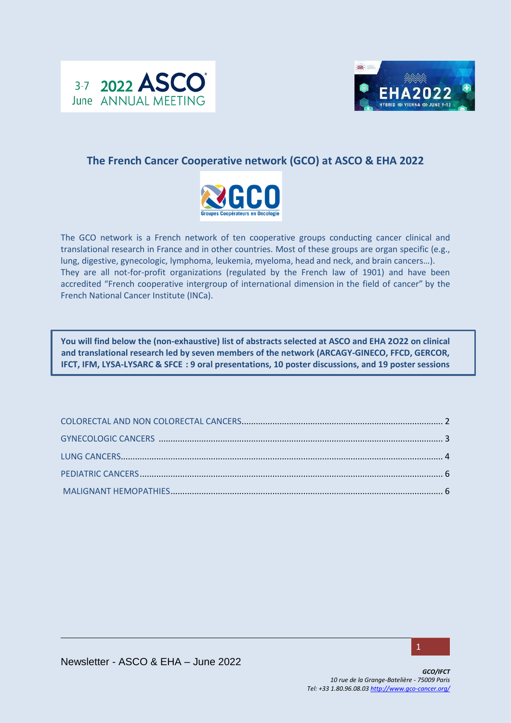



# **The French Cancer Cooperative network (GCO) at ASCO & EHA 2022**



The GCO network is a French network of ten cooperative groups conducting cancer clinical and translational research in France and in other countries. Most of these groups are organ specific (e.g., lung, digestive, gynecologic, lymphoma, leukemia, myeloma, head and neck, and brain cancers…). They are all not-for-profit organizations (regulated by the French law of 1901) and have been accredited "French cooperative intergroup of international dimension in the field of cancer" by the French National Cancer Institute (INCa).

**You will find below the (non-exhaustive) list of abstracts selected at ASCO and EHA 2O22 on clinical and translational research led by seven members of the network (ARCAGY-GINECO, FFCD, GERCOR, IFCT, IFM, LYSA-LYSARC & SFCE : 9 oral presentations, 10 poster discussions, and 19 poster sessions**

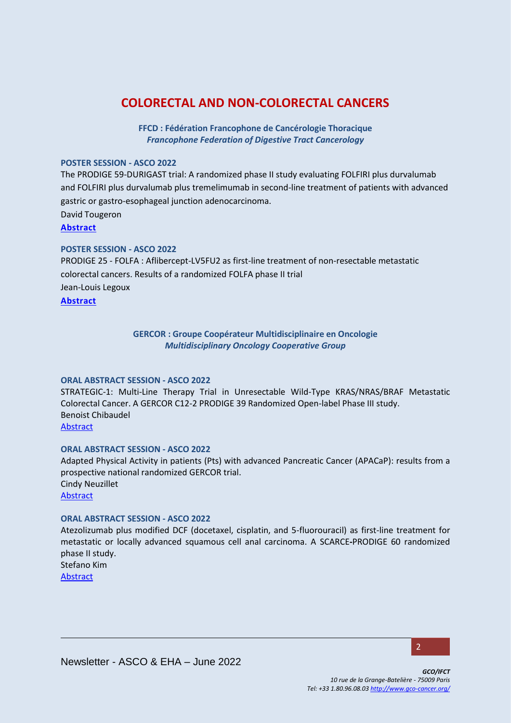# <span id="page-1-0"></span>**COLORECTAL AND NON-COLORECTAL CANCERS**

**FFCD : Fédération Francophone de Cancérologie Thoracique** *Francophone Federation of Digestive Tract Cancerology*

## **POSTER SESSION - ASCO 2022**

The PRODIGE 59-DURIGAST trial: A randomized phase II study evaluating FOLFIRI plus durvalumab and FOLFIRI plus durvalumab plus tremelimumab in second-line treatment of patients with advanced gastric or gastro-esophageal junction adenocarcinoma. David Tougeron **[Abstract](https://meetings.asco.org/abstracts-presentations/209264)**

## **POSTER SESSION - ASCO 2022**

PRODIGE 25 - FOLFA : Aflibercept-LV5FU2 as first-line treatment of non-resectable metastatic colorectal cancers. Results of a randomized FOLFA phase II trial Jean-Louis Legoux

**[Abstract](https://meetings.asco.org/abstracts-presentations/208548)**

## **GERCOR : Groupe Coopérateur Multidisciplinaire en Oncologie** *Multidisciplinary Oncology Cooperative Group*

#### **ORAL ABSTRACT SESSION - ASCO 2022**

STRATEGIC-1: Multi-Line Therapy Trial in Unresectable Wild-Type KRAS/NRAS/BRAF Metastatic Colorectal Cancer. A GERCOR C12-2 PRODIGE 39 Randomized Open-label Phase III study. Benoist Chibaudel [Abstract](https://meetings.asco.org/abstracts-presentations/208325)

## **ORAL ABSTRACT SESSION - ASCO 2022**

Adapted Physical Activity in patients (Pts) with advanced Pancreatic Cancer (APACaP): results from a prospective national randomized GERCOR trial. Cindy Neuzillet [Abstract](https://meetings.asco.org/abstracts-presentations/209175)

#### **ORAL ABSTRACT SESSION - ASCO 2022**

Atezolizumab plus modified DCF (docetaxel, cisplatin, and 5-fluorouracil) as first-line treatment for metastatic or locally advanced squamous cell anal carcinoma. A SCARCE**-**PRODIGE 60 randomized phase II study.

Stefano Kim [Abstract](https://meetings.asco.org/abstracts-presentations/208330)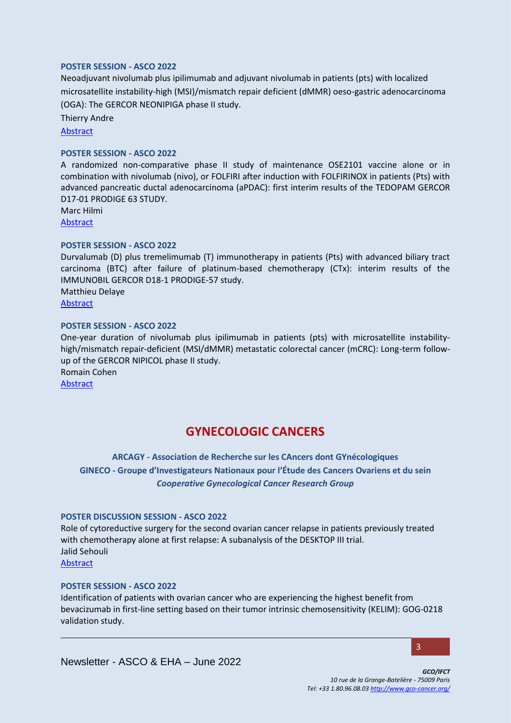### **POSTER SESSION - ASCO 2022**

Neoadjuvant nivolumab plus ipilimumab and adjuvant nivolumab in patients (pts) with localized microsatellite instability-high (MSI)/mismatch repair deficient (dMMR) oeso-gastric adenocarcinoma (OGA): The GERCOR NEONIPIGA phase II study.

Thierry Andre

[Abstract](https://meetings.asco.org/abstracts-presentations/205214)

### **POSTER SESSION - ASCO 2022**

A randomized non-comparative phase II study of maintenance OSE2101 vaccine alone or in combination with nivolumab (nivo), or FOLFIRI after induction with FOLFIRINOX in patients (Pts) with advanced pancreatic ductal adenocarcinoma (aPDAC): first interim results of the TEDOPAM GERCOR D17-01 PRODIGE 63 STUDY.

Marc Hilmi [Abstract](https://meetings.asco.org/abstracts-presentations/210687)

### **POSTER SESSION - ASCO 2022**

Durvalumab (D) plus tremelimumab (T) immunotherapy in patients (Pts) with advanced biliary tract carcinoma (BTC) after failure of platinum-based chemotherapy (CTx): interim results of the IMMUNOBIL GERCOR D18-1 PRODIGE-57 study. Matthieu Delaye

[Abstract](https://meetings.asco.org/abstracts-presentations/211081)

### **POSTER SESSION - ASCO 2022**

One-year duration of nivolumab plus ipilimumab in patients (pts) with microsatellite instabilityhigh/mismatch repair-deficient (MSI/dMMR) metastatic colorectal cancer (mCRC): Long-term followup of the GERCOR NIPICOL phase II study. Romain Cohen

**[Abstract](https://meetings.asco.org/abstracts-presentations/205215)** 

# **GYNECOLOGIC CANCERS**

**ARCAGY - Association de Recherche sur les CAncers dont GYnécologiques GINECO - Groupe d'Investigateurs Nationaux pour l'Étude des Cancers Ovariens et du sein** *[Cooperative Gynecological Cancer Research Group](http://www.arcagy.org/arcagy-organisation-et-recherche/)*

#### **POSTER DISCUSSION SESSION - ASCO 2022**

Role of cytoreductive surgery for the second ovarian cancer relapse in patients previously treated with chemotherapy alone at first relapse: A subanalysis of the DESKTOP III trial. Jalid Sehouli

[Abstract](https://meetings.asco.org/abstracts-presentations/206892)

## **POSTER SESSION - ASCO 2022**

Identification of patients with ovarian cancer who are experiencing the highest benefit from bevacizumab in first-line setting based on their tumor intrinsic chemosensitivity (KELIM): GOG-0218 validation study.

3

Newsletter - ASCO & EHA – June 2022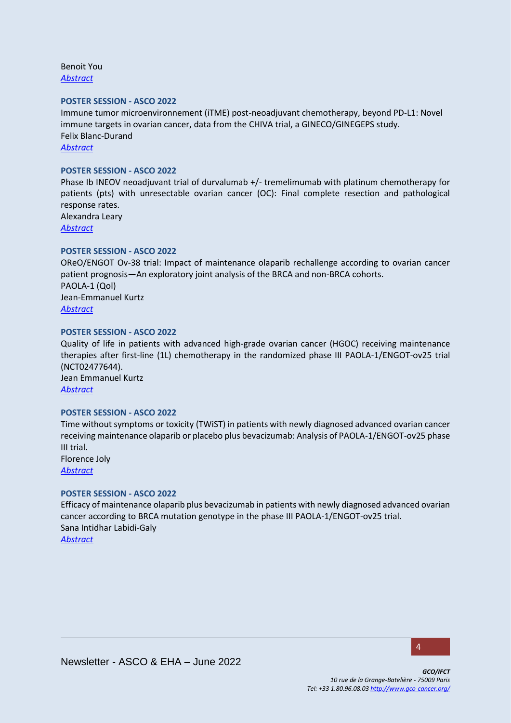Benoit You *[Abstract](https://meetings.asco.org/abstracts-presentations/207633)*

#### **POSTER SESSION - ASCO 2022**

Immune tumor microenvironnement (iTME) post-neoadjuvant chemotherapy, beyond PD-L1: Novel immune targets in ovarian cancer, data from the CHIVA trial, a GINECO/GINEGEPS study. Felix Blanc-Durand *[Abstract](https://meetings.asco.org/abstracts-presentations/207847)*

#### **POSTER SESSION - ASCO 2022**

Phase Ib INEOV neoadjuvant trial of durvalumab +/- tremelimumab with platinum chemotherapy for patients (pts) with unresectable ovarian cancer (OC): Final complete resection and pathological response rates.

Alexandra Leary *[Abstract](https://meetings.asco.org/abstracts-presentations/207767)*

### **POSTER SESSION - ASCO 2022**

OReO/ENGOT Ov-38 trial: Impact of maintenance olaparib rechallenge according to ovarian cancer patient prognosis—An exploratory joint analysis of the BRCA and non-BRCA cohorts. PAOLA-1 (Qol) Jean-Emmanuel Kurtz *[Abstract](https://meetings.asco.org/abstracts-presentations/207614)*

#### **POSTER SESSION - ASCO 2022**

Quality of life in patients with advanced high-grade ovarian cancer (HGOC) receiving maintenance therapies after first-line (1L) chemotherapy in the randomized phase III PAOLA-1/ENGOT-ov25 trial (NCT02477644). Jean Emmanuel Kurtz

*[Abstract](https://meetings.asco.org/abstracts-presentations/209644)*

#### **POSTER SESSION - ASCO 2022**

Time without symptoms or toxicity (TWiST) in patients with newly diagnosed advanced ovarian cancer receiving maintenance olaparib or placebo plus bevacizumab: Analysis of PAOLA-1/ENGOT-ov25 phase III trial. Florence Joly

*[Abstract](https://meetings.asco.org/abstracts-presentations/207826)*

#### **POSTER SESSION - ASCO 2022**

Efficacy of maintenance olaparib plus bevacizumab in patients with newly diagnosed advanced ovarian cancer according to BRCA mutation genotype in the phase III PAOLA-1/ENGOT-ov25 trial. Sana Intidhar Labidi-Galy *[Abstract](https://meetings.asco.org/abstracts-presentations/207681)*

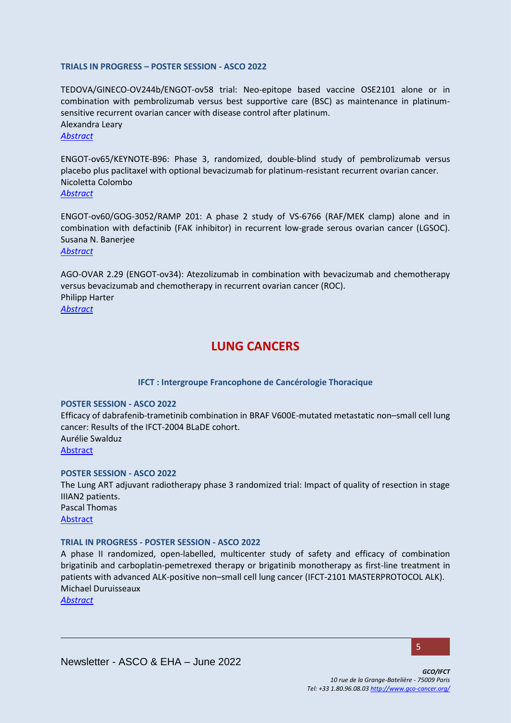### **TRIALS IN PROGRESS – POSTER SESSION - ASCO 2022**

TEDOVA/GINECO-OV244b/ENGOT-ov58 trial: Neo-epitope based vaccine OSE2101 alone or in combination with pembrolizumab versus best supportive care (BSC) as maintenance in platinumsensitive recurrent ovarian cancer with disease control after platinum. Alexandra Leary *[Abstract](https://meetings.asco.org/abstracts-presentations/213270)*

ENGOT-ov65/KEYNOTE-B96: Phase 3, randomized, double-blind study of pembrolizumab versus placebo plus paclitaxel with optional bevacizumab for platinum-resistant recurrent ovarian cancer. Nicoletta Colombo *[Abstract](https://meetings.asco.org/abstracts-presentations/213378)*

ENGOT-ov60/GOG-3052/RAMP 201: A phase 2 study of VS-6766 (RAF/MEK clamp) alone and in combination with defactinib (FAK inhibitor) in recurrent low-grade serous ovarian cancer (LGSOC). Susana N. Banerjee *[Abstract](https://meetings.asco.org/abstracts-presentations/213514)*

AGO-OVAR 2.29 (ENGOT-ov34): Atezolizumab in combination with bevacizumab and chemotherapy versus bevacizumab and chemotherapy in recurrent ovarian cancer (ROC). Philipp Harter *[Abstract](https://meetings.asco.org/abstracts-presentations/213188)*

# **LUNG CANCERS**

## **IFCT : Intergroupe Francophone de Cancérologie Thoracique**

#### <span id="page-4-0"></span>**POSTER SESSION - ASCO 2022**

Efficacy of dabrafenib-trametinib combination in BRAF V600E-mutated metastatic non–small cell lung cancer: Results of the IFCT-2004 BLaDE cohort. Aurélie Swalduz [Abstract](https://meetings.asco.org/abstracts-presentations/208898)

### **POSTER SESSION - ASCO 2022**

The Lung ART adjuvant radiotherapy phase 3 randomized trial: Impact of quality of resection in stage IIIAN2 patients. Pascal Thomas [Abstract](https://meetings.asco.org/abstracts-presentations/207989)

#### **TRIAL IN PROGRESS - POSTER SESSION - ASCO 2022**

A phase II randomized, open-labelled, multicenter study of safety and efficacy of combination brigatinib and carboplatin-pemetrexed therapy or brigatinib monotherapy as first-line treatment in patients with advanced ALK-positive non–small cell lung cancer (IFCT-2101 MASTERPROTOCOL ALK). Michael Duruisseaux

*[Abstract](https://meetings.asco.org/abstracts-presentations/213183)*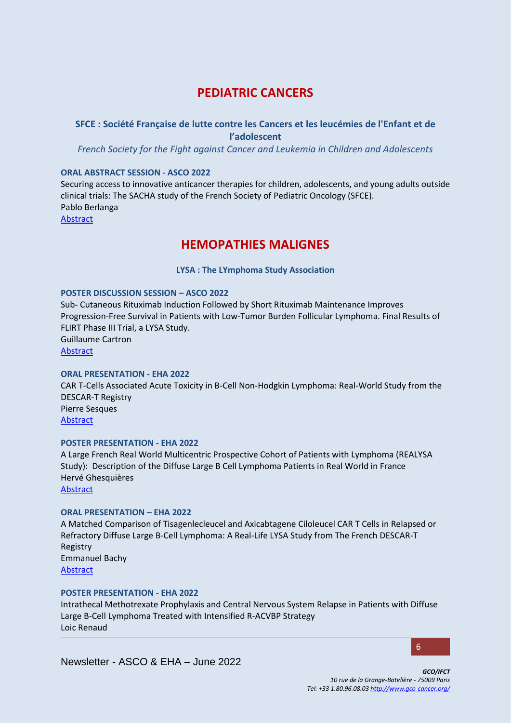# **PEDIATRIC CANCERS**

## <span id="page-5-0"></span>**SFCE : Société Française de lutte contre les Cancers et les leucémies de l'Enfant et de l'adolescent**

*French Society for the Fight against Cancer and Leukemia in Children and Adolescents*

## **ORAL ABSTRACT SESSION - ASCO 2022**

Securing access to innovative anticancer therapies for children, adolescents, and young adults outside clinical trials: The SACHA study of the French Society of Pediatric Oncology (SFCE). Pablo Berlanga [Abstract](https://meetings.asco.org/abstracts-presentations/206900)

**HEMOPATHIES MALIGNES** 

**LYSA : The LYmphoma Study Association**

### **POSTER DISCUSSION SESSION – ASCO 2022**

Sub- Cutaneous Rituximab Induction Followed by Short Rituximab Maintenance Improves Progression-Free Survival in Patients with Low-Tumor Burden Follicular Lymphoma. Final Results of FLIRT Phase III Trial, a LYSA Study. Guillaume Cartron [Abstract](https://meetings.asco.org/abstracts-presentations/207255)

## **ORAL PRESENTATION - EHA 2022**

CAR T-Cells Associated Acute Toxicity in B-Cell Non-Hodgkin Lymphoma: Real-World Study from the DESCAR-T Registry Pierre Sesques [Abstract](https://library.ehaweb.org/eha/2022/eha2022-congress/357074/pierre.sesques.car.t-cells.associated.acute.toxicity.in.b-cell.non-hodgkin.html?f=listing%3D4%2Abrowseby%3D8%2Asortby%3D2%2Amedia%3D3%2Aspeaker%3D619405)

#### **POSTER PRESENTATION - EHA 2022**

A Large French Real World Multicentric Prospective Cohort of Patients with Lymphoma (REALYSA Study): Description of the Diffuse Large B Cell Lymphoma Patients in Real World in France Hervé Ghesquières

[Abstract](https://library.ehaweb.org/eha/2022/eha2022-congress/358045/herve.ghesquieres.a.large.french.real.world.multicentric.prospective.cohort.of.html?f=listing%3D0%2Abrowseby%3D8%2Asortby%3D1%2Asearch%3Drealysa)

## **ORAL PRESENTATION – EHA 2022**

A Matched Comparison of Tisagenlecleucel and Axicabtagene Ciloleucel CAR T Cells in Relapsed or Refractory Diffuse Large B-Cell Lymphoma: A Real-Life LYSA Study from The French DESCAR-T Registry Emmanuel Bachy [Abstract](https://library.ehaweb.org/eha/2022/eha2022-congress/357124/emmanuel.bachy.a.matched.comparison.of.tisagenlecleucel.and.axicabtagene.html?f=listing%3D4%2Abrowseby%3D8%2Asortby%3D2%2Amedia%3D3%2Aspeaker%3D880507)

#### **POSTER PRESENTATION - EHA 2022**

Intrathecal Methotrexate Prophylaxis and Central Nervous System Relapse in Patients with Diffuse Large B-Cell Lymphoma Treated with Intensified R-ACVBP Strategy Loic Renaud

Newsletter - ASCO & EHA – June 2022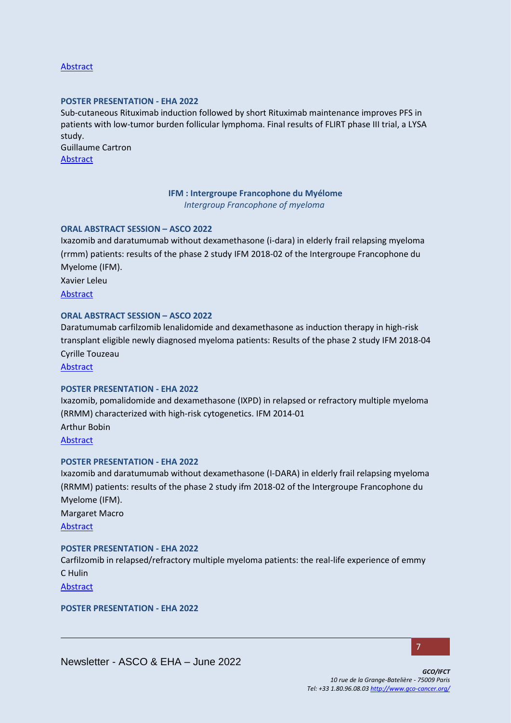## [Abstract](https://library.ehaweb.org/eha/2022/eha2022-congress/358076/loc.renaud.intrathecal.methotrexate.prophylaxis.and.central.nervous.system.html?f=listing%3D0%2Abrowseby%3D8%2Asortby%3D1%2Asearch%3Drenaud)

#### **POSTER PRESENTATION - EHA 2022**

Sub-cutaneous Rituximab induction followed by short Rituximab maintenance improves PFS in patients with low-tumor burden follicular lymphoma. Final results of FLIRT phase III trial, a LYSA study.

Guillaume Cartron [Abstract](https://library.ehaweb.org/eha/2022/eha2022-congress/357993/guillaume.cartron.sub-cutaneous.rituximab.induction.followed.by.short.html?f=listing%3D0%2Abrowseby%3D8%2Asortby%3D1%2Asearch%3Dflirt)

## **IFM : Intergroupe Francophone du Myélome** *Intergroup Francophone of myeloma*

## **ORAL ABSTRACT SESSION – ASCO 2022**

Ixazomib and daratumumab without dexamethasone (i-dara) in elderly frail relapsing myeloma (rrmm) patients: results of the phase 2 study IFM 2018-02 of the Intergroupe Francophone du Myelome (IFM).

Xavier Leleu

[Abstract](https://meetings.asco.org/abstracts-presentations/213608)

### **ORAL ABSTRACT SESSION – ASCO 2022**

Daratumumab carfilzomib lenalidomide and dexamethasone as induction therapy in high-risk transplant eligible newly diagnosed myeloma patients: Results of the phase 2 study IFM 2018-04 Cyrille Touzeau

[Abstract](https://meetings.asco.org/abstracts-presentations/207299)

### **POSTER PRESENTATION - EHA 2022**

Ixazomib, pomalidomide and dexamethasone (IXPD) in relapsed or refractory multiple myeloma (RRMM) characterized with high-risk cytogenetics. IFM 2014-01 Arthur Bobin [Abstract](https://library.ehaweb.org/eha/2022/eha2022-congress/357752/xavier.leleu.ixazomib.pomalidomide.and.dexamethasone.28ixpd29.in.relapsed.or.html?f=listing%3D0%2Abrowseby%3D8%2Asortby%3D1%2Asearch%3Dixazomib)

#### **POSTER PRESENTATION - EHA 2022**

Ixazomib and daratumumab without dexamethasone (I-DARA) in elderly frail relapsing myeloma (RRMM) patients: results of the phase 2 study ifm 2018-02 of the Intergroupe Francophone du Myelome (IFM). Margaret Macro [Abstract](https://library.ehaweb.org/eha/2022/eha2022-congress/357789/margaret.macro.ixazomib.and.daratumumab.without.dexamethasone.28i-dara29.in.html?f=listing%3D0%2Abrowseby%3D8%2Asortby%3D1%2Asearch%3Dixazomib)

#### **POSTER PRESENTATION - EHA 2022**

Carfilzomib in relapsed/refractory multiple myeloma patients: the real-life experience of emmy C Hulin

[Abstract](https://library.ehaweb.org/eha/2022/eha2022-congress/357815/c.hulin.carfilzomib.in.relapsed.refractory.multiple.myeloma.patients.the.html?f=listing%3D0%2Abrowseby%3D8%2Asortby%3D1%2Asearch%3Dcarfilzomib)

**POSTER PRESENTATION - EHA 2022**